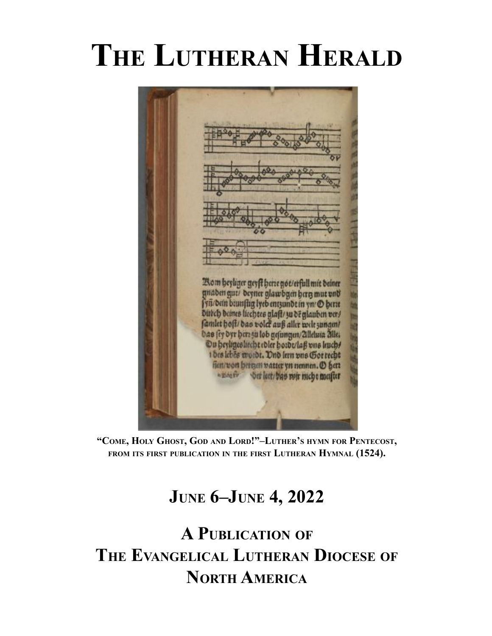# **THE LUTHERAN HERALD**

Bom heyliger geyft herre got/erfull mit beiner gnaben gut/ beyner glawbgen berg mut und fyn bein baunfug lyeb entsundt in yn @ berte Dutch deines licentes glaft/30 deglauben ver/ Das fey dyr herz su lob gefungen/Zilelura Zilles Ou heyligesliecht ebler hotbt/laß vns liuch! 1 des lebes mojdt. Ond lern uns Got recht fien/von hermen vatter yn nennen. (D) hert -nostr bet leet/bas mir mcht meifter

**"COME, HOLY GHOST, GOD AND LORD!"–LUTHER'S HYMN FOR PENTECOST, FROM ITS FIRST PUBLICATION IN THE FIRST LUTHERAN HYMNAL (1524).**

### **JUNE 6–JUNE 4, 2022**

### **A PUBLICATION OF THE EVANGELICAL LUTHERAN DIOCESE OF NORTH AMERICA**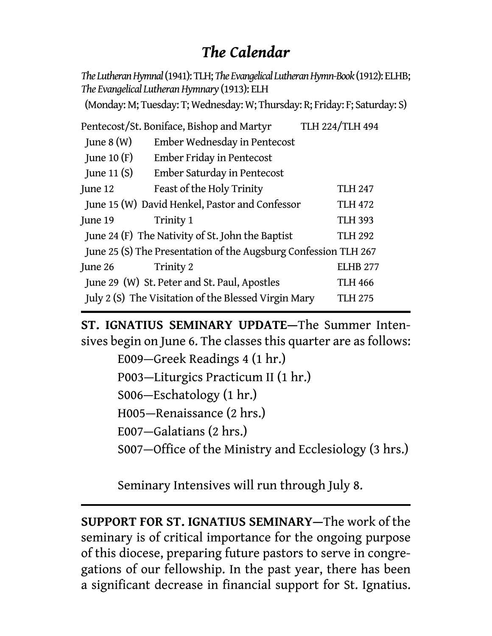### *The Calendar*

*The Lutheran Hymnal* (1941): TLH; *The Evangelical Lutheran Hymn-Book* (1912): ELHB; *The Evangelical Lutheran Hymnary* (1913): ELH

(Monday: M; Tuesday: T; Wednesday: W; Thursday: R; Friday: F; Saturday: S)

| Pentecost/St. Boniface, Bishop and Martyr                              |                              | TLH 224/TLH 494 |
|------------------------------------------------------------------------|------------------------------|-----------------|
| June $8(W)$                                                            | Ember Wednesday in Pentecost |                 |
| June 10 $(F)$                                                          | Ember Friday in Pentecost    |                 |
| June 11 $(S)$                                                          | Ember Saturday in Pentecost  |                 |
| June 12                                                                | Feast of the Holy Trinity    | <b>TLH 247</b>  |
| June 15 (W) David Henkel, Pastor and Confessor<br><b>TLH 472</b>       |                              |                 |
| June 19                                                                | Trinity 1                    | <b>TLH 393</b>  |
| June 24 (F) The Nativity of St. John the Baptist<br><b>TLH 292</b>     |                              |                 |
| June 25 (S) The Presentation of the Augsburg Confession TLH 267        |                              |                 |
| June 26                                                                | Trinity 2                    | <b>ELHB 277</b> |
| June 29 (W) St. Peter and St. Paul, Apostles<br><b>TLH 466</b>         |                              |                 |
| July 2 (S) The Visitation of the Blessed Virgin Mary<br><b>TLH 275</b> |                              |                 |

**ST. IGNATIUS SEMINARY UPDATE—**The Summer Intensives begin on June 6. The classes this quarter are as follows:

> E009—Greek Readings 4 (1 hr.) P003—Liturgics Practicum II (1 hr.) S006—Eschatology (1 hr.) H005—Renaissance (2 hrs.) E007—Galatians (2 hrs.) S007–Office of the Ministry and Ecclesiology (3 hrs.)

Seminary Intensives will run through July 8.

**SUPPORT FOR ST. IGNATIUS SEMINARY—**The work of the seminary is of critical importance for the ongoing purpose of this diocese, preparing future pastors to serve in congregations of our fellowship. In the past year, there has been a significant decrease in financial support for St. Ignatius.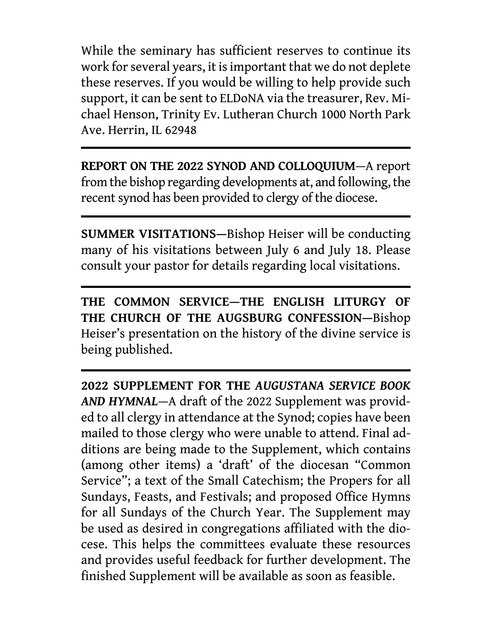While the seminary has sufficient reserves to continue its work for several years, it is important that we do not deplete these reserves. If you would be willing to help provide such support, it can be sent to ELDoNA via the treasurer, Rev. Michael Henson, Trinity Ev. Lutheran Church 1000 North Park Ave. Herrin, IL 62948

**REPORT ON THE 2022 SYNOD AND COLLOQUIUM**—A report from the bishop regarding developments at, and following, the recent synod has been provided to clergy of the diocese.

**SUMMER VISITATIONS—**Bishop Heiser will be conducting many of his visitations between July 6 and July 18. Please consult your pastor for details regarding local visitations.

**THE COMMON SERVICE—THE ENGLISH LITURGY OF THE CHURCH OF THE AUGSBURG CONFESSION—**Bishop Heiser's presentation on the history of the divine service is being published.

**2022 SUPPLEMENT FOR THE** *AUGUSTANA SERVICE BOOK AND HYMNAL*—A draft of the 2022 Supplement was provided to all clergy in attendance at the Synod; copies have been mailed to those clergy who were unable to attend. Final additions are being made to the Supplement, which contains (among other items) a 'draft' of the diocesan "Common Service"; a text of the Small Catechism; the Propers for all Sundays, Feasts, and Festivals; and proposed Office Hymns for all Sundays of the Church Year. The Supplement may be used as desired in congregations affiliated with the diocese. This helps the committees evaluate these resources and provides useful feedback for further development. The finished Supplement will be available as soon as feasible.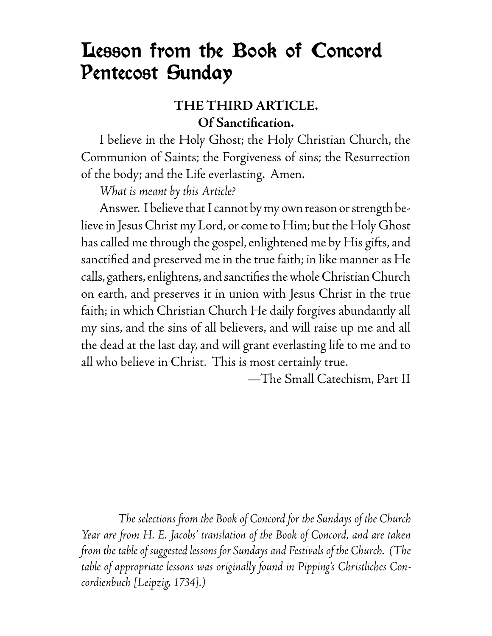## Lesson from the Book of Concord Pentecost Sunday

### **THE THIRD ARTICLE. Of Sanctifi cation.**

 I believe in the Holy Ghost; the Holy Christian Church, the Communion of Saints; the Forgiveness of sins; the Resurrection of the body; and the Life everlasting. Amen.

 *What is meant by this Article?*

 Answer. I believe that I cannot by my own reason or strength believe in Jesus Christ my Lord, or come to Him; but the Holy Ghost has called me through the gospel, enlightened me by His gifts, and sanctified and preserved me in the true faith; in like manner as He calls, gathers, enlightens, and sanctifies the whole Christian Church on earth, and preserves it in union with Jesus Christ in the true faith; in which Christian Church He daily forgives abundantly all my sins, and the sins of all believers, and will raise up me and all the dead at the last day, and will grant everlasting life to me and to all who believe in Christ. This is most certainly true.

—The Small Catechism, Part II

 *The selections from the Book of Concord for the Sundays of the Church Year are from H. E. Jacobs' translation of the Book of Concord, and are taken from the table of suggested lessons for Sundays and Festivals of the Church. (The table of appropriate lessons was originally found in Pipping's Christliches Concordienbuch [Leipzig, 1734].)*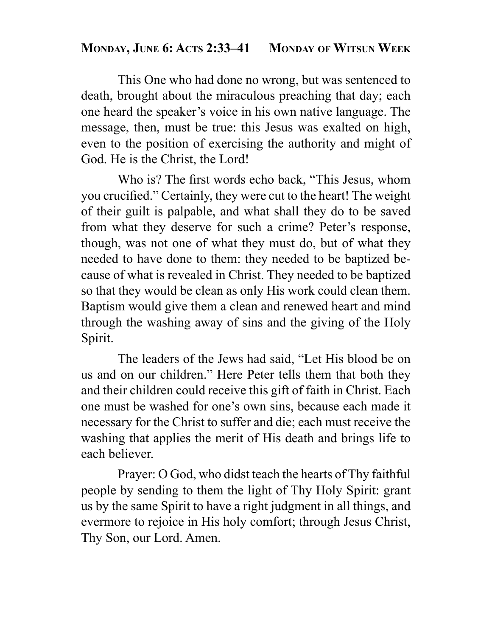### **MONDAY, JUNE 6: ACTS 2:33–41 MONDAY OF WITSUN WEEK**

 This One who had done no wrong, but was sentenced to death, brought about the miraculous preaching that day; each one heard the speaker's voice in his own native language. The message, then, must be true: this Jesus was exalted on high, even to the position of exercising the authority and might of God. He is the Christ, the Lord!

Who is? The first words echo back, "This Jesus, whom you crucified." Certainly, they were cut to the heart! The weight of their guilt is palpable, and what shall they do to be saved from what they deserve for such a crime? Peter's response, though, was not one of what they must do, but of what they needed to have done to them: they needed to be baptized because of what is revealed in Christ. They needed to be baptized so that they would be clean as only His work could clean them. Baptism would give them a clean and renewed heart and mind through the washing away of sins and the giving of the Holy Spirit.

 The leaders of the Jews had said, "Let His blood be on us and on our children." Here Peter tells them that both they and their children could receive this gift of faith in Christ. Each one must be washed for one's own sins, because each made it necessary for the Christ to suffer and die; each must receive the washing that applies the merit of His death and brings life to each believer.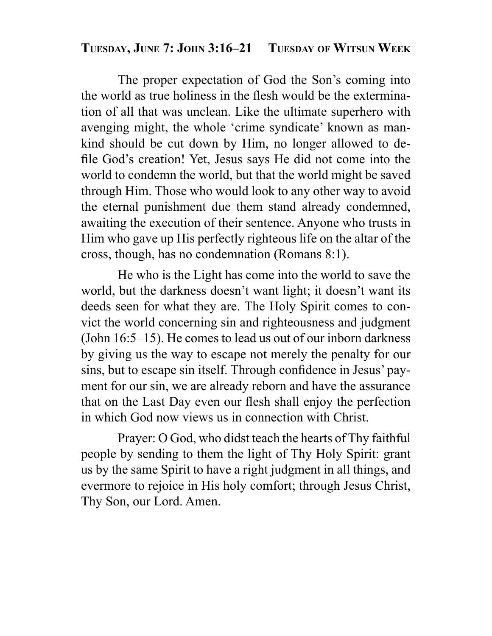### **TUESDAY, JUNE 7: JOHN 3:16–21 TUESDAY OF WITSUN WEEK**

 The proper expectation of God the Son's coming into the world as true holiness in the flesh would be the extermination of all that was unclean. Like the ultimate superhero with avenging might, the whole 'crime syndicate' known as mankind should be cut down by Him, no longer allowed to defile God's creation! Yet, Jesus says He did not come into the world to condemn the world, but that the world might be saved through Him. Those who would look to any other way to avoid the eternal punishment due them stand already condemned, awaiting the execution of their sentence. Anyone who trusts in Him who gave up His perfectly righteous life on the altar of the cross, though, has no condemnation (Romans 8:1).

 He who is the Light has come into the world to save the world, but the darkness doesn't want light; it doesn't want its deeds seen for what they are. The Holy Spirit comes to convict the world concerning sin and righteousness and judgment (John 16:5–15). He comes to lead us out of our inborn darkness by giving us the way to escape not merely the penalty for our sins, but to escape sin itself. Through confidence in Jesus' payment for our sin, we are already reborn and have the assurance that on the Last Day even our flesh shall enjoy the perfection in which God now views us in connection with Christ.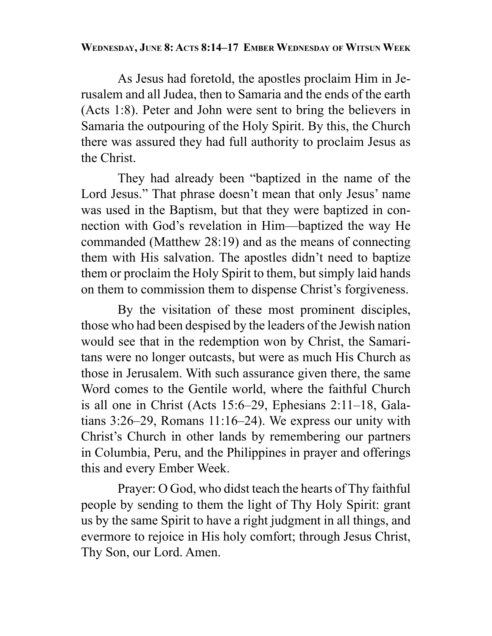#### **WEDNESDAY, JUNE 8: ACTS 8:14–17 EMBER WEDNESDAY OF WITSUN WEEK**

 As Jesus had foretold, the apostles proclaim Him in Jerusalem and all Judea, then to Samaria and the ends of the earth (Acts 1:8). Peter and John were sent to bring the believers in Samaria the outpouring of the Holy Spirit. By this, the Church there was assured they had full authority to proclaim Jesus as the Christ.

 They had already been "baptized in the name of the Lord Jesus." That phrase doesn't mean that only Jesus' name was used in the Baptism, but that they were baptized in connection with God's revelation in Him—baptized the way He commanded (Matthew 28:19) and as the means of connecting them with His salvation. The apostles didn't need to baptize them or proclaim the Holy Spirit to them, but simply laid hands on them to commission them to dispense Christ's forgiveness.

 By the visitation of these most prominent disciples, those who had been despised by the leaders of the Jewish nation would see that in the redemption won by Christ, the Samaritans were no longer outcasts, but were as much His Church as those in Jerusalem. With such assurance given there, the same Word comes to the Gentile world, where the faithful Church is all one in Christ (Acts 15:6–29, Ephesians 2:11–18, Galatians 3:26–29, Romans 11:16–24). We express our unity with Christ's Church in other lands by remembering our partners in Columbia, Peru, and the Philippines in prayer and offerings this and every Ember Week.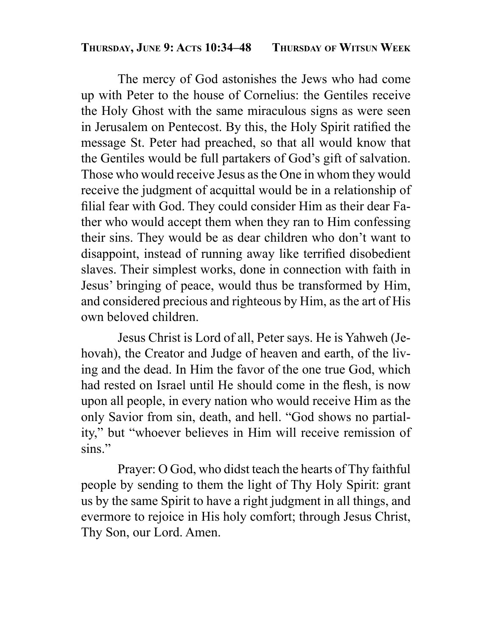#### **THURSDAY, JUNE 9: ACTS 10:34–48 THURSDAY OF WITSUN WEEK**

 The mercy of God astonishes the Jews who had come up with Peter to the house of Cornelius: the Gentiles receive the Holy Ghost with the same miraculous signs as were seen in Jerusalem on Pentecost. By this, the Holy Spirit ratified the message St. Peter had preached, so that all would know that the Gentiles would be full partakers of God's gift of salvation. Those who would receive Jesus as the One in whom they would receive the judgment of acquittal would be in a relationship of filial fear with God. They could consider Him as their dear Father who would accept them when they ran to Him confessing their sins. They would be as dear children who don't want to disappoint, instead of running away like terrified disobedient slaves. Their simplest works, done in connection with faith in Jesus' bringing of peace, would thus be transformed by Him, and considered precious and righteous by Him, as the art of His own beloved children.

 Jesus Christ is Lord of all, Peter says. He is Yahweh (Jehovah), the Creator and Judge of heaven and earth, of the living and the dead. In Him the favor of the one true God, which had rested on Israel until He should come in the flesh, is now upon all people, in every nation who would receive Him as the only Savior from sin, death, and hell. "God shows no partiality," but "whoever believes in Him will receive remission of sins."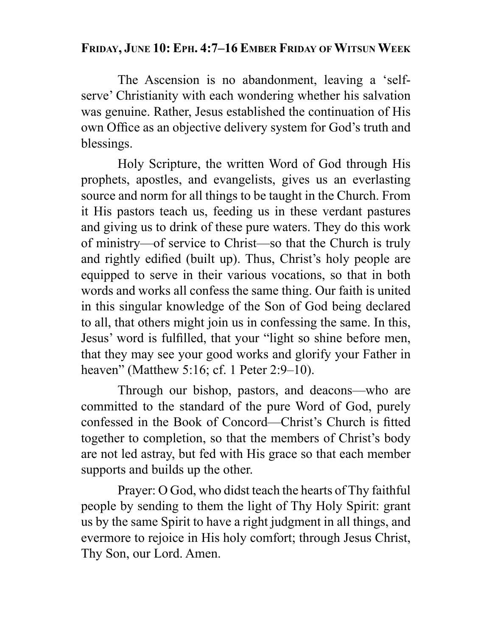### **FRIDAY, JUNE 10: EPH. 4:7–16 EMBER FRIDAY OF WITSUN WEEK**

 The Ascension is no abandonment, leaving a 'selfserve' Christianity with each wondering whether his salvation was genuine. Rather, Jesus established the continuation of His own Office as an objective delivery system for God's truth and blessings.

 Holy Scripture, the written Word of God through His prophets, apostles, and evangelists, gives us an everlasting source and norm for all things to be taught in the Church. From it His pastors teach us, feeding us in these verdant pastures and giving us to drink of these pure waters. They do this work of ministry—of service to Christ—so that the Church is truly and rightly edified (built up). Thus, Christ's holy people are equipped to serve in their various vocations, so that in both words and works all confess the same thing. Our faith is united in this singular knowledge of the Son of God being declared to all, that others might join us in confessing the same. In this, Jesus' word is fulfilled, that your "light so shine before men, that they may see your good works and glorify your Father in heaven" (Matthew 5:16; cf. 1 Peter 2:9–10).

 Through our bishop, pastors, and deacons—who are committed to the standard of the pure Word of God, purely confessed in the Book of Concord—Christ's Church is fitted together to completion, so that the members of Christ's body are not led astray, but fed with His grace so that each member supports and builds up the other.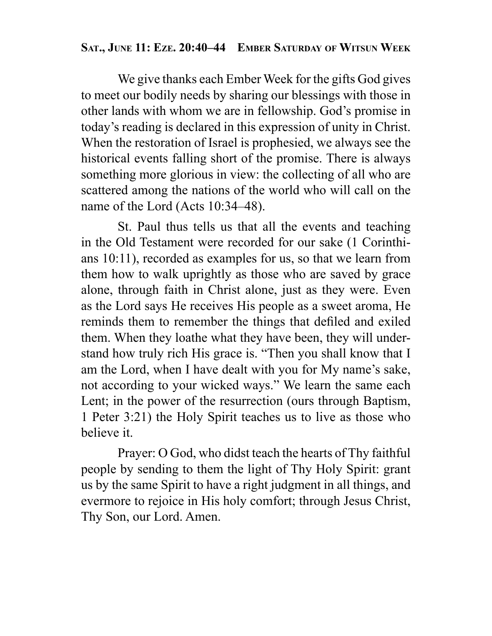### **SAT., JUNE 11: EZE. 20:40–44 EMBER SATURDAY OF WITSUN WEEK**

 We give thanks each Ember Week for the gifts God gives to meet our bodily needs by sharing our blessings with those in other lands with whom we are in fellowship. God's promise in today's reading is declared in this expression of unity in Christ. When the restoration of Israel is prophesied, we always see the historical events falling short of the promise. There is always something more glorious in view: the collecting of all who are scattered among the nations of the world who will call on the name of the Lord (Acts 10:34–48).

 St. Paul thus tells us that all the events and teaching in the Old Testament were recorded for our sake (1 Corinthians 10:11), recorded as examples for us, so that we learn from them how to walk uprightly as those who are saved by grace alone, through faith in Christ alone, just as they were. Even as the Lord says He receives His people as a sweet aroma, He reminds them to remember the things that defiled and exiled them. When they loathe what they have been, they will understand how truly rich His grace is. "Then you shall know that I am the Lord, when I have dealt with you for My name's sake, not according to your wicked ways." We learn the same each Lent; in the power of the resurrection (ours through Baptism, 1 Peter 3:21) the Holy Spirit teaches us to live as those who believe it.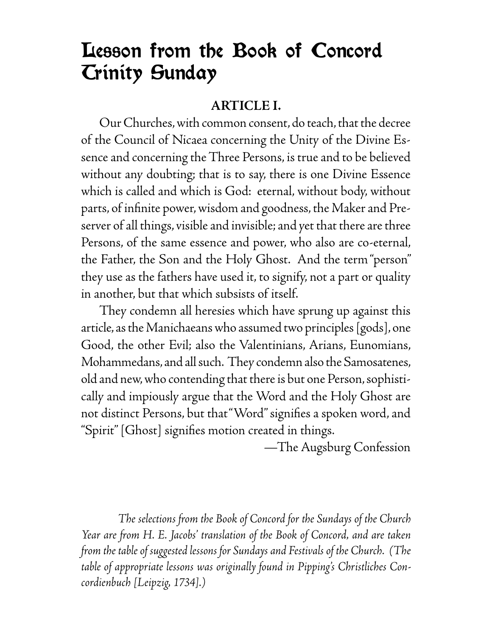# Lesson from the Book of Concord Trinity Sunday

### **ARTICLE I.**

 Our Churches, with common consent, do teach, that the decree of the Council of Nicaea concerning the Unity of the Divine Essence and concerning the Three Persons, is true and to be believed without any doubting; that is to say, there is one Divine Essence which is called and which is God: eternal, without body, without parts, of infinite power, wisdom and goodness, the Maker and Preserver of all things, visible and invisible; and yet that there are three Persons, of the same essence and power, who also are co-eternal, the Father, the Son and the Holy Ghost. And the term "person" they use as the fathers have used it, to signify, not a part or quality in another, but that which subsists of itself.

 They condemn all heresies which have sprung up against this article, as the Manichaeans who assumed two principles [gods], one Good, the other Evil; also the Valentinians, Arians, Eunomians, Mohammedans, and all such. They condemn also the Samosatenes, old and new, who contending that there is but one Person, sophistically and impiously argue that the Word and the Holy Ghost are not distinct Persons, but that "Word" signifies a spoken word, and "Spirit" [Ghost] signifies motion created in things.

—The Augsburg Confession

 *The selections from the Book of Concord for the Sundays of the Church Year are from H. E. Jacobs' translation of the Book of Concord, and are taken from the table of suggested lessons for Sundays and Festivals of the Church. (The table of appropriate lessons was originally found in Pipping's Christliches Concordienbuch [Leipzig, 1734].)*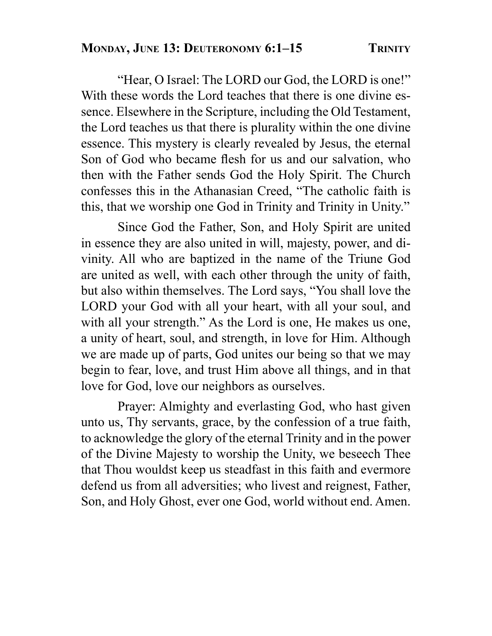"Hear, O Israel: The LORD our God, the LORD is one!" With these words the Lord teaches that there is one divine essence. Elsewhere in the Scripture, including the Old Testament, the Lord teaches us that there is plurality within the one divine essence. This mystery is clearly revealed by Jesus, the eternal Son of God who became flesh for us and our salvation, who then with the Father sends God the Holy Spirit. The Church confesses this in the Athanasian Creed, "The catholic faith is this, that we worship one God in Trinity and Trinity in Unity."

 Since God the Father, Son, and Holy Spirit are united in essence they are also united in will, majesty, power, and divinity. All who are baptized in the name of the Triune God are united as well, with each other through the unity of faith, but also within themselves. The Lord says, "You shall love the LORD your God with all your heart, with all your soul, and with all your strength." As the Lord is one, He makes us one, a unity of heart, soul, and strength, in love for Him. Although we are made up of parts, God unites our being so that we may begin to fear, love, and trust Him above all things, and in that love for God, love our neighbors as ourselves.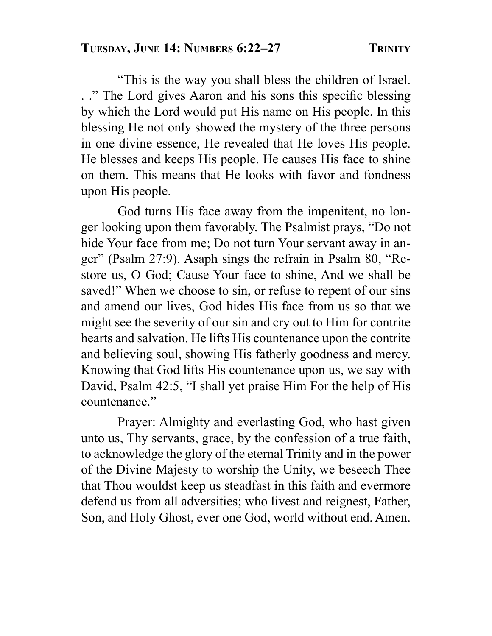"This is the way you shall bless the children of Israel. . ." The Lord gives Aaron and his sons this specific blessing by which the Lord would put His name on His people. In this blessing He not only showed the mystery of the three persons in one divine essence, He revealed that He loves His people. He blesses and keeps His people. He causes His face to shine on them. This means that He looks with favor and fondness upon His people.

 God turns His face away from the impenitent, no longer looking upon them favorably. The Psalmist prays, "Do not hide Your face from me; Do not turn Your servant away in anger" (Psalm 27:9). Asaph sings the refrain in Psalm 80, "Restore us, O God; Cause Your face to shine, And we shall be saved!" When we choose to sin, or refuse to repent of our sins and amend our lives, God hides His face from us so that we might see the severity of our sin and cry out to Him for contrite hearts and salvation. He lifts His countenance upon the contrite and believing soul, showing His fatherly goodness and mercy. Knowing that God lifts His countenance upon us, we say with David, Psalm 42:5, "I shall yet praise Him For the help of His countenance."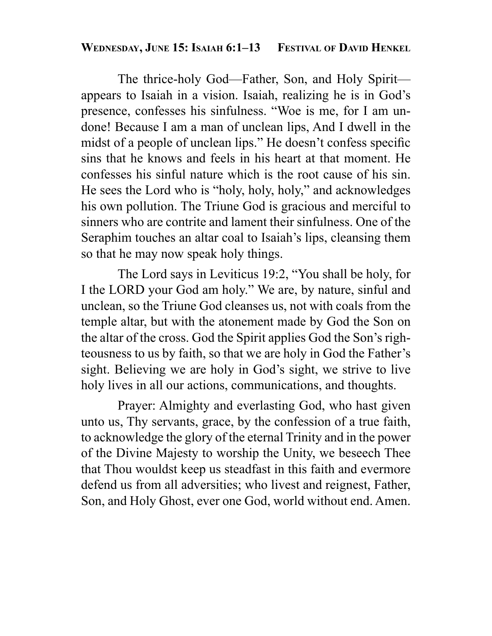#### **WEDNESDAY, JUNE 15: ISAIAH 6:1–13 FESTIVAL OF DAVID HENKEL**

 The thrice-holy God—Father, Son, and Holy Spirit appears to Isaiah in a vision. Isaiah, realizing he is in God's presence, confesses his sinfulness. "Woe is me, for I am undone! Because I am a man of unclean lips, And I dwell in the midst of a people of unclean lips." He doesn't confess specific sins that he knows and feels in his heart at that moment. He confesses his sinful nature which is the root cause of his sin. He sees the Lord who is "holy, holy, holy," and acknowledges his own pollution. The Triune God is gracious and merciful to sinners who are contrite and lament their sinfulness. One of the Seraphim touches an altar coal to Isaiah's lips, cleansing them so that he may now speak holy things.

 The Lord says in Leviticus 19:2, "You shall be holy, for I the LORD your God am holy." We are, by nature, sinful and unclean, so the Triune God cleanses us, not with coals from the temple altar, but with the atonement made by God the Son on the altar of the cross. God the Spirit applies God the Son's righteousness to us by faith, so that we are holy in God the Father's sight. Believing we are holy in God's sight, we strive to live holy lives in all our actions, communications, and thoughts.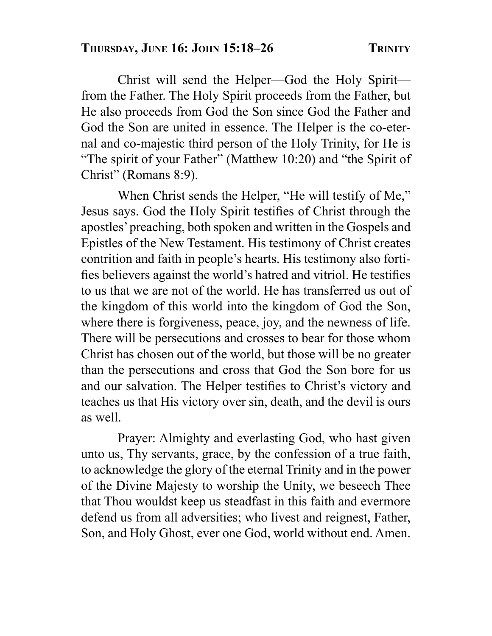Christ will send the Helper—God the Holy Spirit from the Father. The Holy Spirit proceeds from the Father, but He also proceeds from God the Son since God the Father and God the Son are united in essence. The Helper is the co-eternal and co-majestic third person of the Holy Trinity, for He is "The spirit of your Father" (Matthew 10:20) and "the Spirit of Christ" (Romans 8:9).

 When Christ sends the Helper, "He will testify of Me," Jesus says. God the Holy Spirit testifies of Christ through the apostles' preaching, both spoken and written in the Gospels and Epistles of the New Testament. His testimony of Christ creates contrition and faith in people's hearts. His testimony also fortifies believers against the world's hatred and vitriol. He testifies to us that we are not of the world. He has transferred us out of the kingdom of this world into the kingdom of God the Son, where there is forgiveness, peace, joy, and the newness of life. There will be persecutions and crosses to bear for those whom Christ has chosen out of the world, but those will be no greater than the persecutions and cross that God the Son bore for us and our salvation. The Helper testifies to Christ's victory and teaches us that His victory over sin, death, and the devil is ours as well.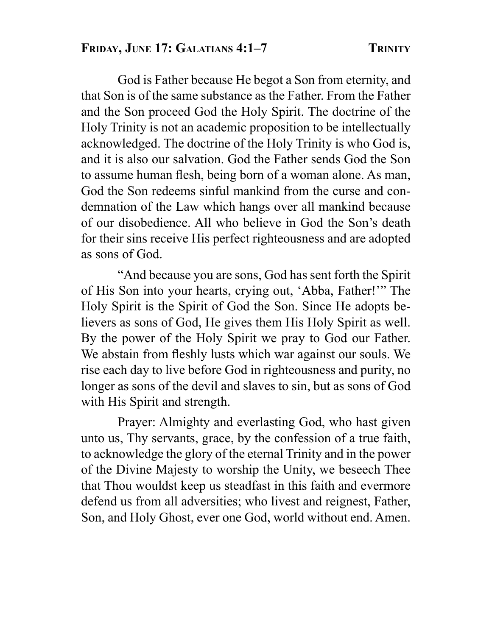God is Father because He begot a Son from eternity, and that Son is of the same substance as the Father. From the Father and the Son proceed God the Holy Spirit. The doctrine of the Holy Trinity is not an academic proposition to be intellectually acknowledged. The doctrine of the Holy Trinity is who God is, and it is also our salvation. God the Father sends God the Son to assume human flesh, being born of a woman alone. As man, God the Son redeems sinful mankind from the curse and condemnation of the Law which hangs over all mankind because of our disobedience. All who believe in God the Son's death for their sins receive His perfect righteousness and are adopted as sons of God.

 "And because you are sons, God has sent forth the Spirit of His Son into your hearts, crying out, 'Abba, Father!'" The Holy Spirit is the Spirit of God the Son. Since He adopts believers as sons of God, He gives them His Holy Spirit as well. By the power of the Holy Spirit we pray to God our Father. We abstain from fleshly lusts which war against our souls. We rise each day to live before God in righteousness and purity, no longer as sons of the devil and slaves to sin, but as sons of God with His Spirit and strength.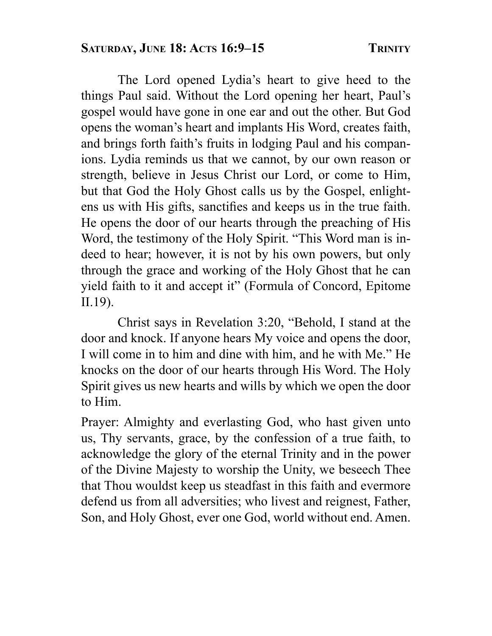The Lord opened Lydia's heart to give heed to the things Paul said. Without the Lord opening her heart, Paul's gospel would have gone in one ear and out the other. But God opens the woman's heart and implants His Word, creates faith, and brings forth faith's fruits in lodging Paul and his companions. Lydia reminds us that we cannot, by our own reason or strength, believe in Jesus Christ our Lord, or come to Him, but that God the Holy Ghost calls us by the Gospel, enlightens us with His gifts, sanctifies and keeps us in the true faith. He opens the door of our hearts through the preaching of His Word, the testimony of the Holy Spirit. "This Word man is indeed to hear; however, it is not by his own powers, but only through the grace and working of the Holy Ghost that he can yield faith to it and accept it" (Formula of Concord, Epitome II.19).

 Christ says in Revelation 3:20, "Behold, I stand at the door and knock. If anyone hears My voice and opens the door, I will come in to him and dine with him, and he with Me." He knocks on the door of our hearts through His Word. The Holy Spirit gives us new hearts and wills by which we open the door to Him.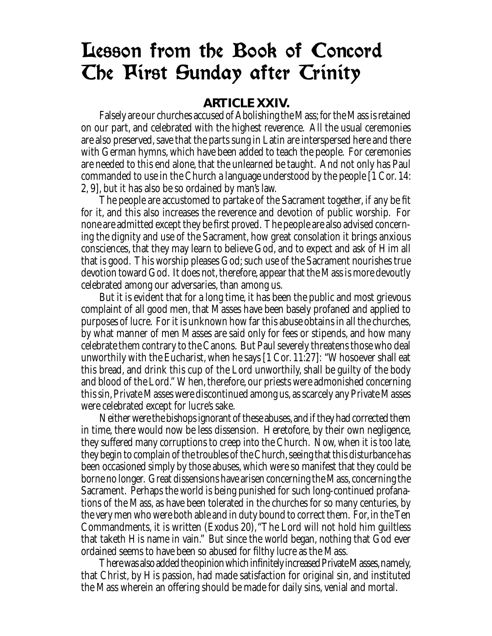## Lesson from the Book of Concord The First Sunday after Trinity

#### **ARTICLE XXIV.**

 Falsely are our churches accused of Abolishing the Mass; for the Mass is retained on our part, and celebrated with the highest reverence. All the usual ceremonies are also preserved, save that the parts sung in Latin are interspersed here and there with German hymns, which have been added to teach the people. For ceremonies are needed to this end alone, that the unlearned be taught. And not only has Paul commanded to use in the Church a language understood by the people [1 Cor. 14: 2, 9], but it has also be so ordained by man's law.

The people are accustomed to partake of the Sacrament together, if any be fit for it, and this also increases the reverence and devotion of public worship. For none are admitted except they be first proved. The people are also advised concerning the dignity and use of the Sacrament, how great consolation it brings anxious consciences, that they may learn to believe God, and to expect and ask of Him all that is good. This worship pleases God; such use of the Sacrament nourishes true devotion toward God. It does not, therefore, appear that the Mass is more devoutly celebrated among our adversaries, than among us.

 But it is evident that for a long time, it has been the public and most grievous complaint of all good men, that Masses have been basely profaned and applied to purposes of lucre. For it is unknown how far this abuse obtains in all the churches, by what manner of men Masses are said only for fees or stipends, and how many celebrate them contrary to the Canons. But Paul severely threatens those who deal unworthily with the Eucharist, when he says [1 Cor. 11:27]: "Whosoever shall eat this bread, and drink this cup of the Lord unworthily, shall be guilty of the body and blood of the Lord." When, therefore, our priests were admonished concerning this sin, Private Masses were discontinued among us, as scarcely any Private Masses were celebrated except for lucre's sake.

 Neither were the bishops ignorant of these abuses, and if they had corrected them in time, there would now be less dissension. Heretofore, by their own negligence, they suffered many corruptions to creep into the Church. Now, when it is too late, they begin to complain of the troubles of the Church, seeing that this disturbance has been occasioned simply by those abuses, which were so manifest that they could be borne no longer. Great dissensions have arisen concerning the Mass, concerning the Sacrament. Perhaps the world is being punished for such long-continued profanations of the Mass, as have been tolerated in the churches for so many centuries, by the very men who were both able and in duty bound to correct them. For, in the Ten Commandments, it is written (Exodus 20), "The Lord will not hold him guiltless that taketh His name in vain." But since the world began, nothing that God ever ordained seems to have been so abused for filthy lucre as the Mass.

There was also added the opinion which infinitely increased Private Masses, namely, that Christ, by His passion, had made satisfaction for original sin, and instituted the Mass wherein an offering should be made for daily sins, venial and mortal.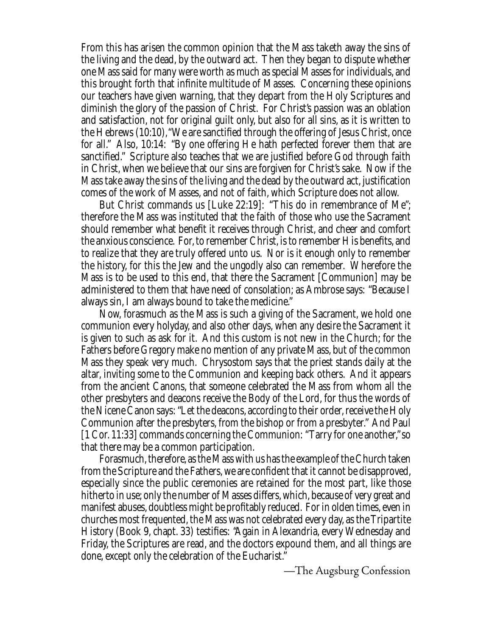From this has arisen the common opinion that the Mass taketh away the sins of the living and the dead, by the outward act. Then they began to dispute whether one Mass said for many were worth as much as special Masses for individuals, and this brought forth that infinite multitude of Masses. Concerning these opinions our teachers have given warning, that they depart from the Holy Scriptures and diminish the glory of the passion of Christ. For Christ's passion was an oblation and satisfaction, not for original guilt only, but also for all sins, as it is written to the Hebrews  $(10:10)$ , "We are sanctified through the offering of Jesus Christ, once for all." Also, 10:14: "By one offering He hath perfected forever them that are sanctified." Scripture also teaches that we are justified before God through faith in Christ, when we believe that our sins are forgiven for Christ's sake. Now if the Mass take away the sins of the living and the dead by the outward act, justification comes of the work of Masses, and not of faith, which Scripture does not allow.

 But Christ commands us [Luke 22:19]: "This do in remembrance of Me"; therefore the Mass was instituted that the faith of those who use the Sacrament should remember what benefit it receives through Christ, and cheer and comfort the anxious conscience. For, to remember Christ, is to remember His benefits, and to realize that they are truly offered unto us. Nor is it enough only to remember the history, for this the Jew and the ungodly also can remember. Wherefore the Mass is to be used to this end, that there the Sacrament [Communion] may be administered to them that have need of consolation; as Ambrose says: "Because I always sin, I am always bound to take the medicine."

 Now, forasmuch as the Mass is such a giving of the Sacrament, we hold one communion every holyday, and also other days, when any desire the Sacrament it is given to such as ask for it. And this custom is not new in the Church; for the Fathers before Gregory make no mention of any private Mass, but of the common Mass they speak very much. Chrysostom says that the priest stands daily at the altar, inviting some to the Communion and keeping back others. And it appears from the ancient Canons, that someone celebrated the Mass from whom all the other presbyters and deacons receive the Body of the Lord, for thus the words of the Nicene Canon says: "Let the deacons, according to their order, receive the Holy Communion after the presbyters, from the bishop or from a presbyter." And Paul [1 Cor. 11:33] commands concerning the Communion: "Tarry for one another," so that there may be a common participation.

 Forasmuch, therefore, as the Mass with us has the example of the Church taken from the Scripture and the Fathers, we are confident that it cannot be disapproved, especially since the public ceremonies are retained for the most part, like those hitherto in use; only the number of Masses differs, which, because of very great and manifest abuses, doubtless might be profitably reduced. For in olden times, even in churches most frequented, the Mass was not celebrated every day, as the Tripartite History (Book 9, chapt. 33) testifies: "Again in Alexandria, every Wednesday and Friday, the Scriptures are read, and the doctors expound them, and all things are done, except only the celebration of the Eucharist."

—The Augsburg Confession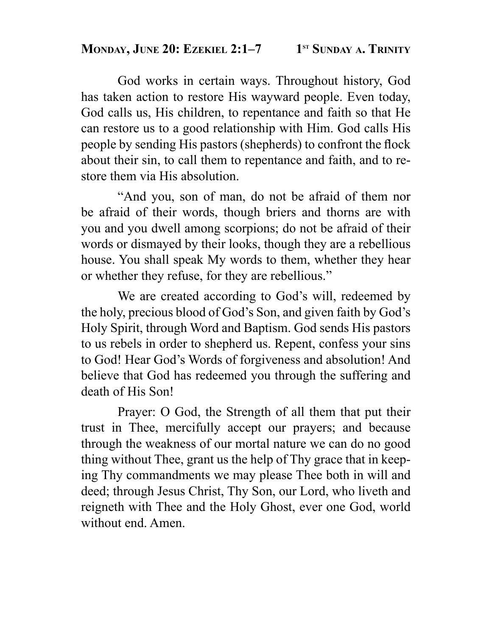### **MONDAY, JUNE 20: EZEKIEL 2:1-7** 1<sup>st</sup> SUNDAY A. TRINITY

 God works in certain ways. Throughout history, God has taken action to restore His wayward people. Even today, God calls us, His children, to repentance and faith so that He can restore us to a good relationship with Him. God calls His people by sending His pastors (shepherds) to confront the flock about their sin, to call them to repentance and faith, and to restore them via His absolution.

 "And you, son of man, do not be afraid of them nor be afraid of their words, though briers and thorns are with you and you dwell among scorpions; do not be afraid of their words or dismayed by their looks, though they are a rebellious house. You shall speak My words to them, whether they hear or whether they refuse, for they are rebellious."

 We are created according to God's will, redeemed by the holy, precious blood of God's Son, and given faith by God's Holy Spirit, through Word and Baptism. God sends His pastors to us rebels in order to shepherd us. Repent, confess your sins to God! Hear God's Words of forgiveness and absolution! And believe that God has redeemed you through the suffering and death of His Son!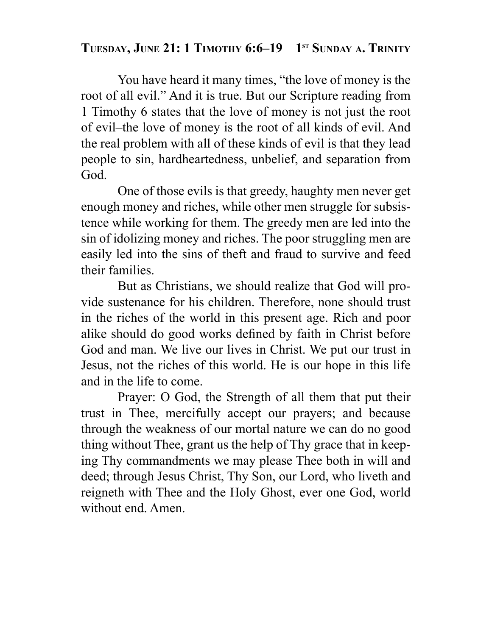### TUESDAY, JUNE 21: 1 TIMOTHY 6:6-19 1<sup>st</sup> SUNDAY A. TRINITY

 You have heard it many times, "the love of money is the root of all evil." And it is true. But our Scripture reading from 1 Timothy 6 states that the love of money is not just the root of evil–the love of money is the root of all kinds of evil. And the real problem with all of these kinds of evil is that they lead people to sin, hardheartedness, unbelief, and separation from God.

 One of those evils is that greedy, haughty men never get enough money and riches, while other men struggle for subsistence while working for them. The greedy men are led into the sin of idolizing money and riches. The poor struggling men are easily led into the sins of theft and fraud to survive and feed their families.

 But as Christians, we should realize that God will provide sustenance for his children. Therefore, none should trust in the riches of the world in this present age. Rich and poor alike should do good works defined by faith in Christ before God and man. We live our lives in Christ. We put our trust in Jesus, not the riches of this world. He is our hope in this life and in the life to come.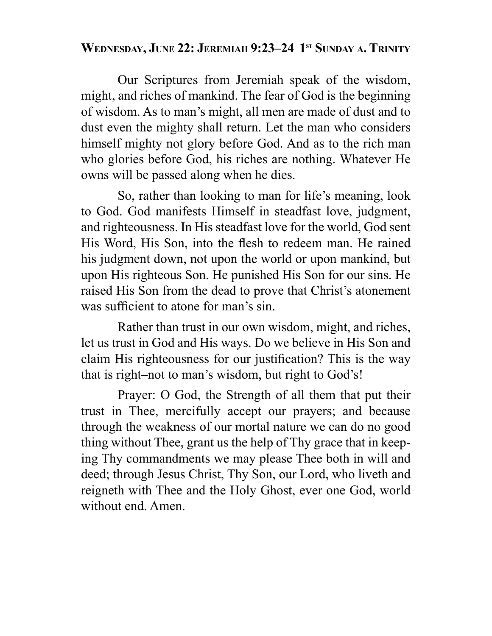### WEDNESDAY, JUNE 22: JEREMIAH 9:23-24 1<sup>st</sup> SUNDAY A. TRINITY

 Our Scriptures from Jeremiah speak of the wisdom, might, and riches of mankind. The fear of God is the beginning of wisdom. As to man's might, all men are made of dust and to dust even the mighty shall return. Let the man who considers himself mighty not glory before God. And as to the rich man who glories before God, his riches are nothing. Whatever He owns will be passed along when he dies.

 So, rather than looking to man for life's meaning, look to God. God manifests Himself in steadfast love, judgment, and righteousness. In His steadfast love for the world, God sent His Word, His Son, into the flesh to redeem man. He rained his judgment down, not upon the world or upon mankind, but upon His righteous Son. He punished His Son for our sins. He raised His Son from the dead to prove that Christ's atonement was sufficient to atone for man's sin.

 Rather than trust in our own wisdom, might, and riches, let us trust in God and His ways. Do we believe in His Son and claim His righteousness for our justification? This is the way that is right–not to man's wisdom, but right to God's!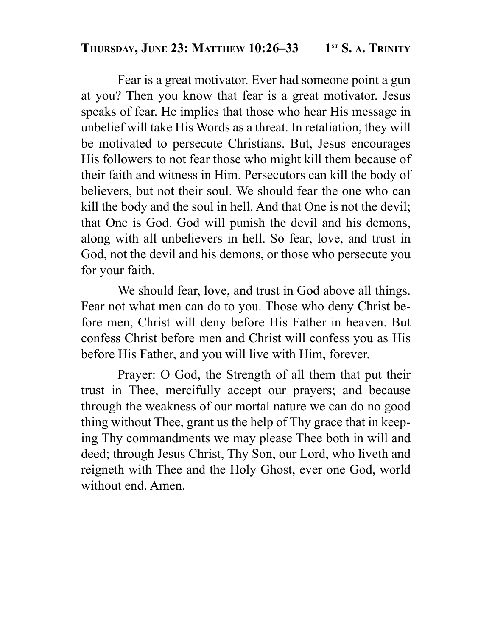### **THURSDAY, JUNE 23: MATTHEW 10:26-33** 1<sup>st</sup> S. A. TRINITY

 Fear is a great motivator. Ever had someone point a gun at you? Then you know that fear is a great motivator. Jesus speaks of fear. He implies that those who hear His message in unbelief will take His Words as a threat. In retaliation, they will be motivated to persecute Christians. But, Jesus encourages His followers to not fear those who might kill them because of their faith and witness in Him. Persecutors can kill the body of believers, but not their soul. We should fear the one who can kill the body and the soul in hell. And that One is not the devil; that One is God. God will punish the devil and his demons, along with all unbelievers in hell. So fear, love, and trust in God, not the devil and his demons, or those who persecute you for your faith.

 We should fear, love, and trust in God above all things. Fear not what men can do to you. Those who deny Christ before men, Christ will deny before His Father in heaven. But confess Christ before men and Christ will confess you as His before His Father, and you will live with Him, forever.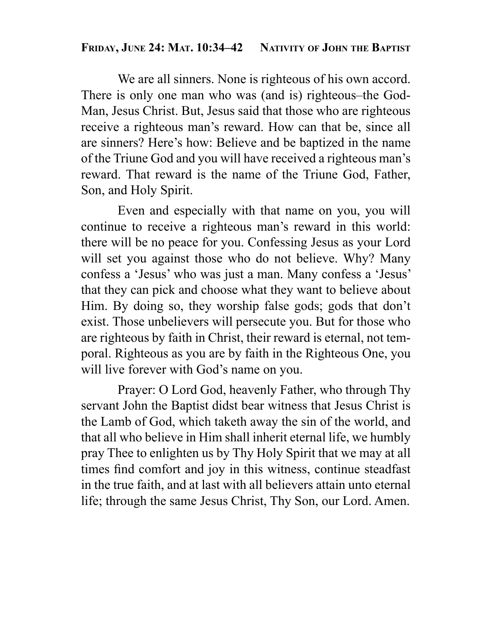### **FRIDAY, JUNE 24: MAT. 10:34–42 NATIVITY OF JOHN THE BAPTIST**

 We are all sinners. None is righteous of his own accord. There is only one man who was (and is) righteous–the God-Man, Jesus Christ. But, Jesus said that those who are righteous receive a righteous man's reward. How can that be, since all are sinners? Here's how: Believe and be baptized in the name of the Triune God and you will have received a righteous man's reward. That reward is the name of the Triune God, Father, Son, and Holy Spirit.

 Even and especially with that name on you, you will continue to receive a righteous man's reward in this world: there will be no peace for you. Confessing Jesus as your Lord will set you against those who do not believe. Why? Many confess a 'Jesus' who was just a man. Many confess a 'Jesus' that they can pick and choose what they want to believe about Him. By doing so, they worship false gods; gods that don't exist. Those unbelievers will persecute you. But for those who are righteous by faith in Christ, their reward is eternal, not temporal. Righteous as you are by faith in the Righteous One, you will live forever with God's name on you.

 Prayer: O Lord God, heavenly Father, who through Thy servant John the Baptist didst bear witness that Jesus Christ is the Lamb of God, which taketh away the sin of the world, and that all who believe in Him shall inherit eternal life, we humbly pray Thee to enlighten us by Thy Holy Spirit that we may at all times find comfort and joy in this witness, continue steadfast in the true faith, and at last with all believers attain unto eternal life; through the same Jesus Christ, Thy Son, our Lord. Amen.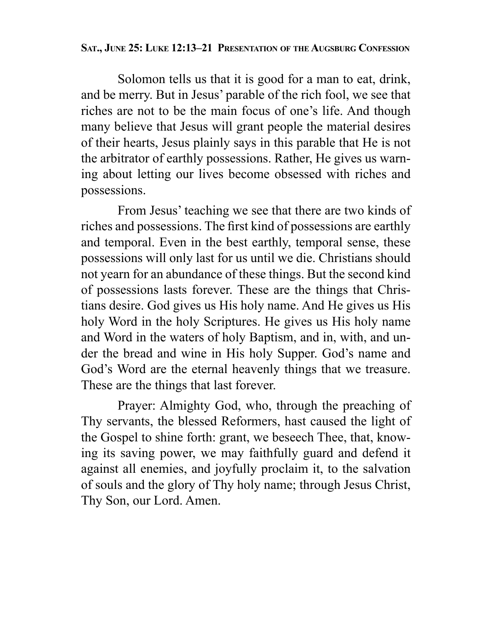#### **SAT., JUNE 25: LUKE 12:13–21 PRESENTATION OF THE AUGSBURG CONFESSION**

 Solomon tells us that it is good for a man to eat, drink, and be merry. But in Jesus' parable of the rich fool, we see that riches are not to be the main focus of one's life. And though many believe that Jesus will grant people the material desires of their hearts, Jesus plainly says in this parable that He is not the arbitrator of earthly possessions. Rather, He gives us warning about letting our lives become obsessed with riches and possessions.

 From Jesus' teaching we see that there are two kinds of riches and possessions. The first kind of possessions are earthly and temporal. Even in the best earthly, temporal sense, these possessions will only last for us until we die. Christians should not yearn for an abundance of these things. But the second kind of possessions lasts forever. These are the things that Christians desire. God gives us His holy name. And He gives us His holy Word in the holy Scriptures. He gives us His holy name and Word in the waters of holy Baptism, and in, with, and under the bread and wine in His holy Supper. God's name and God's Word are the eternal heavenly things that we treasure. These are the things that last forever.

 Prayer: Almighty God, who, through the preaching of Thy servants, the blessed Reformers, hast caused the light of the Gospel to shine forth: grant, we beseech Thee, that, knowing its saving power, we may faithfully guard and defend it against all enemies, and joyfully proclaim it, to the salvation of souls and the glory of Thy holy name; through Jesus Christ, Thy Son, our Lord. Amen.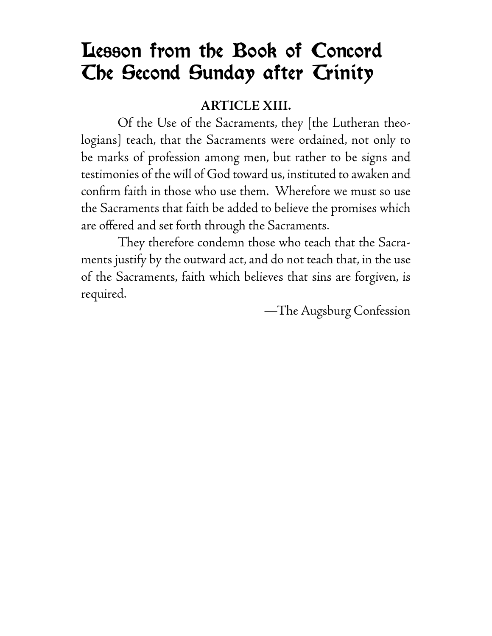# Lesson from the Book of Concord The Second Sunday after Trinity

### **ARTICLE XIII.**

 Of the Use of the Sacraments, they [the Lutheran theologians] teach, that the Sacraments were ordained, not only to be marks of profession among men, but rather to be signs and testimonies of the will of God toward us, instituted to awaken and confirm faith in those who use them. Wherefore we must so use the Sacraments that faith be added to believe the promises which are offered and set forth through the Sacraments.

 They therefore condemn those who teach that the Sacraments justify by the outward act, and do not teach that, in the use of the Sacraments, faith which believes that sins are forgiven, is required.

—The Augsburg Confession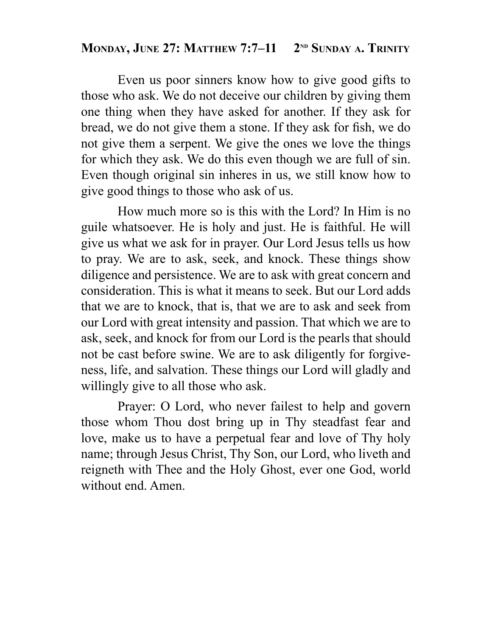### **MONDAY, JUNE 27: MATTHEW 7:7-11 2ND SUNDAY A. TRINITY**

 Even us poor sinners know how to give good gifts to those who ask. We do not deceive our children by giving them one thing when they have asked for another. If they ask for bread, we do not give them a stone. If they ask for fish, we do not give them a serpent. We give the ones we love the things for which they ask. We do this even though we are full of sin. Even though original sin inheres in us, we still know how to give good things to those who ask of us.

 How much more so is this with the Lord? In Him is no guile whatsoever. He is holy and just. He is faithful. He will give us what we ask for in prayer. Our Lord Jesus tells us how to pray. We are to ask, seek, and knock. These things show diligence and persistence. We are to ask with great concern and consideration. This is what it means to seek. But our Lord adds that we are to knock, that is, that we are to ask and seek from our Lord with great intensity and passion. That which we are to ask, seek, and knock for from our Lord is the pearls that should not be cast before swine. We are to ask diligently for forgiveness, life, and salvation. These things our Lord will gladly and willingly give to all those who ask.

 Prayer: O Lord, who never failest to help and govern those whom Thou dost bring up in Thy steadfast fear and love, make us to have a perpetual fear and love of Thy holy name; through Jesus Christ, Thy Son, our Lord, who liveth and reigneth with Thee and the Holy Ghost, ever one God, world without end. Amen.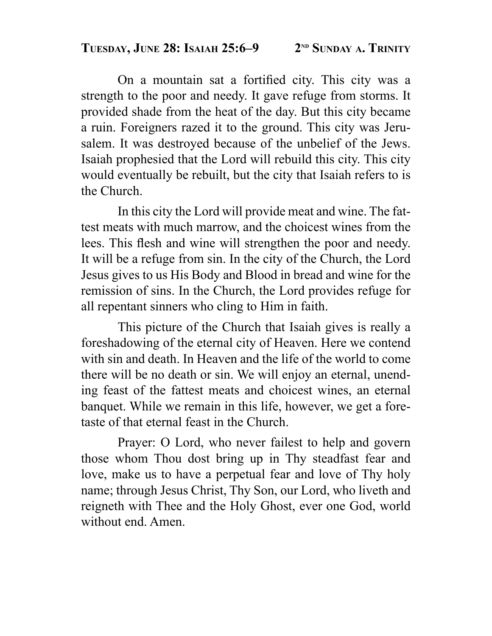On a mountain sat a fortified city. This city was a strength to the poor and needy. It gave refuge from storms. It provided shade from the heat of the day. But this city became a ruin. Foreigners razed it to the ground. This city was Jerusalem. It was destroyed because of the unbelief of the Jews. Isaiah prophesied that the Lord will rebuild this city. This city would eventually be rebuilt, but the city that Isaiah refers to is the Church.

 In this city the Lord will provide meat and wine. The fattest meats with much marrow, and the choicest wines from the lees. This flesh and wine will strengthen the poor and needy. It will be a refuge from sin. In the city of the Church, the Lord Jesus gives to us His Body and Blood in bread and wine for the remission of sins. In the Church, the Lord provides refuge for all repentant sinners who cling to Him in faith.

 This picture of the Church that Isaiah gives is really a foreshadowing of the eternal city of Heaven. Here we contend with sin and death. In Heaven and the life of the world to come there will be no death or sin. We will enjoy an eternal, unending feast of the fattest meats and choicest wines, an eternal banquet. While we remain in this life, however, we get a foretaste of that eternal feast in the Church.

 Prayer: O Lord, who never failest to help and govern those whom Thou dost bring up in Thy steadfast fear and love, make us to have a perpetual fear and love of Thy holy name; through Jesus Christ, Thy Son, our Lord, who liveth and reigneth with Thee and the Holy Ghost, ever one God, world without end. Amen.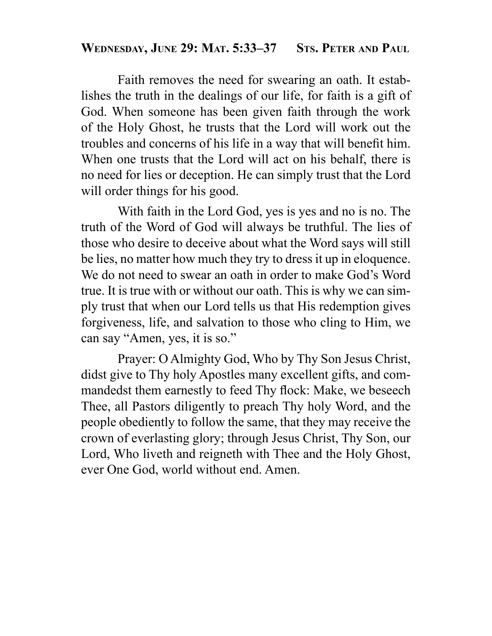### **WEDNESDAY, JUNE 29: MAT. 5:33–37 STS. PETER AND PAUL**

 Faith removes the need for swearing an oath. It establishes the truth in the dealings of our life, for faith is a gift of God. When someone has been given faith through the work of the Holy Ghost, he trusts that the Lord will work out the troubles and concerns of his life in a way that will benefit him. When one trusts that the Lord will act on his behalf, there is no need for lies or deception. He can simply trust that the Lord will order things for his good.

 With faith in the Lord God, yes is yes and no is no. The truth of the Word of God will always be truthful. The lies of those who desire to deceive about what the Word says will still be lies, no matter how much they try to dress it up in eloquence. We do not need to swear an oath in order to make God's Word true. It is true with or without our oath. This is why we can simply trust that when our Lord tells us that His redemption gives forgiveness, life, and salvation to those who cling to Him, we can say "Amen, yes, it is so."

 Prayer: O Almighty God, Who by Thy Son Jesus Christ, didst give to Thy holy Apostles many excellent gifts, and commandedst them earnestly to feed Thy flock: Make, we beseech Thee, all Pastors diligently to preach Thy holy Word, and the people obediently to follow the same, that they may receive the crown of everlasting glory; through Jesus Christ, Thy Son, our Lord, Who liveth and reigneth with Thee and the Holy Ghost, ever One God, world without end. Amen.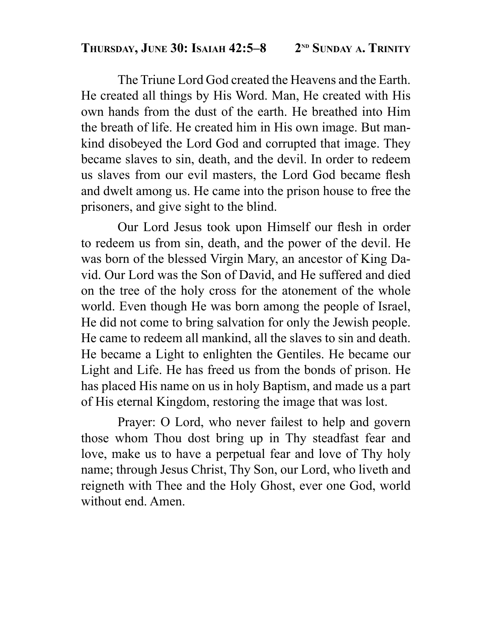### THURSDAY, JUNE 30: ISAIAH 42:5-8 2<sup>ND</sup> SUNDAY A. TRINITY

 The Triune Lord God created the Heavens and the Earth. He created all things by His Word. Man, He created with His own hands from the dust of the earth. He breathed into Him the breath of life. He created him in His own image. But mankind disobeyed the Lord God and corrupted that image. They became slaves to sin, death, and the devil. In order to redeem us slaves from our evil masters, the Lord God became flesh and dwelt among us. He came into the prison house to free the prisoners, and give sight to the blind.

Our Lord Jesus took upon Himself our flesh in order to redeem us from sin, death, and the power of the devil. He was born of the blessed Virgin Mary, an ancestor of King David. Our Lord was the Son of David, and He suffered and died on the tree of the holy cross for the atonement of the whole world. Even though He was born among the people of Israel, He did not come to bring salvation for only the Jewish people. He came to redeem all mankind, all the slaves to sin and death. He became a Light to enlighten the Gentiles. He became our Light and Life. He has freed us from the bonds of prison. He has placed His name on us in holy Baptism, and made us a part of His eternal Kingdom, restoring the image that was lost.

 Prayer: O Lord, who never failest to help and govern those whom Thou dost bring up in Thy steadfast fear and love, make us to have a perpetual fear and love of Thy holy name; through Jesus Christ, Thy Son, our Lord, who liveth and reigneth with Thee and the Holy Ghost, ever one God, world without end. Amen.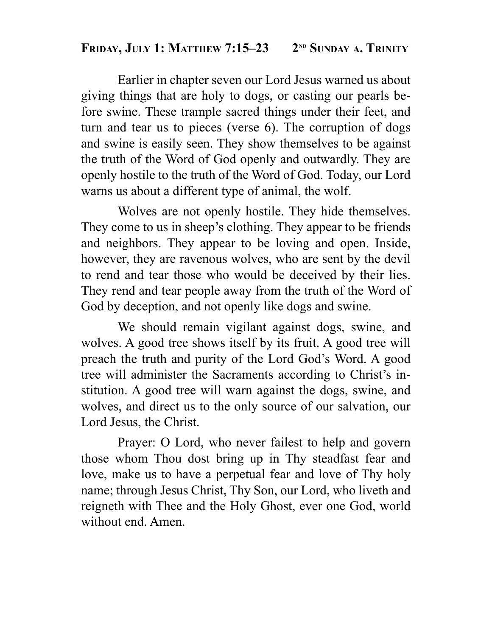### **FRIDAY, JULY 1: MATTHEW 7:15-23** 2<sup>ND</sup> SUNDAY A. TRINITY

 Earlier in chapter seven our Lord Jesus warned us about giving things that are holy to dogs, or casting our pearls before swine. These trample sacred things under their feet, and turn and tear us to pieces (verse 6). The corruption of dogs and swine is easily seen. They show themselves to be against the truth of the Word of God openly and outwardly. They are openly hostile to the truth of the Word of God. Today, our Lord warns us about a different type of animal, the wolf.

 Wolves are not openly hostile. They hide themselves. They come to us in sheep's clothing. They appear to be friends and neighbors. They appear to be loving and open. Inside, however, they are ravenous wolves, who are sent by the devil to rend and tear those who would be deceived by their lies. They rend and tear people away from the truth of the Word of God by deception, and not openly like dogs and swine.

 We should remain vigilant against dogs, swine, and wolves. A good tree shows itself by its fruit. A good tree will preach the truth and purity of the Lord God's Word. A good tree will administer the Sacraments according to Christ's institution. A good tree will warn against the dogs, swine, and wolves, and direct us to the only source of our salvation, our Lord Jesus, the Christ.

 Prayer: O Lord, who never failest to help and govern those whom Thou dost bring up in Thy steadfast fear and love, make us to have a perpetual fear and love of Thy holy name; through Jesus Christ, Thy Son, our Lord, who liveth and reigneth with Thee and the Holy Ghost, ever one God, world without end. Amen.